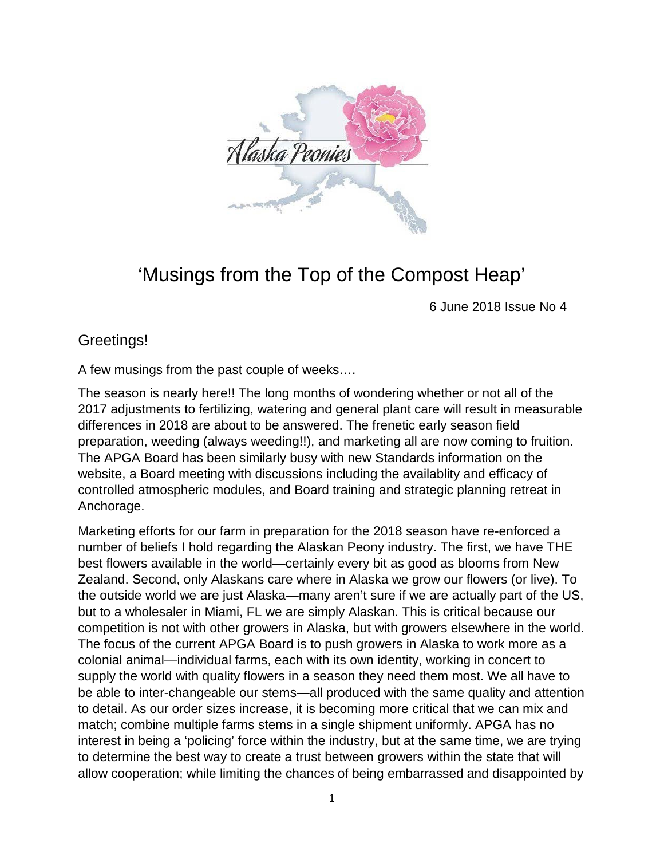

## 'Musings from the Top of the Compost Heap'

6 June 2018 Issue No 4

## Greetings!

A few musings from the past couple of weeks….

The season is nearly here!! The long months of wondering whether or not all of the 2017 adjustments to fertilizing, watering and general plant care will result in measurable differences in 2018 are about to be answered. The frenetic early season field preparation, weeding (always weeding!!), and marketing all are now coming to fruition. The APGA Board has been similarly busy with new Standards information on the website, a Board meeting with discussions including the availablity and efficacy of controlled atmospheric modules, and Board training and strategic planning retreat in Anchorage.

Marketing efforts for our farm in preparation for the 2018 season have re-enforced a number of beliefs I hold regarding the Alaskan Peony industry. The first, we have THE best flowers available in the world—certainly every bit as good as blooms from New Zealand. Second, only Alaskans care where in Alaska we grow our flowers (or live). To the outside world we are just Alaska—many aren't sure if we are actually part of the US, but to a wholesaler in Miami, FL we are simply Alaskan. This is critical because our competition is not with other growers in Alaska, but with growers elsewhere in the world. The focus of the current APGA Board is to push growers in Alaska to work more as a colonial animal—individual farms, each with its own identity, working in concert to supply the world with quality flowers in a season they need them most. We all have to be able to inter-changeable our stems—all produced with the same quality and attention to detail. As our order sizes increase, it is becoming more critical that we can mix and match; combine multiple farms stems in a single shipment uniformly. APGA has no interest in being a 'policing' force within the industry, but at the same time, we are trying to determine the best way to create a trust between growers within the state that will allow cooperation; while limiting the chances of being embarrassed and disappointed by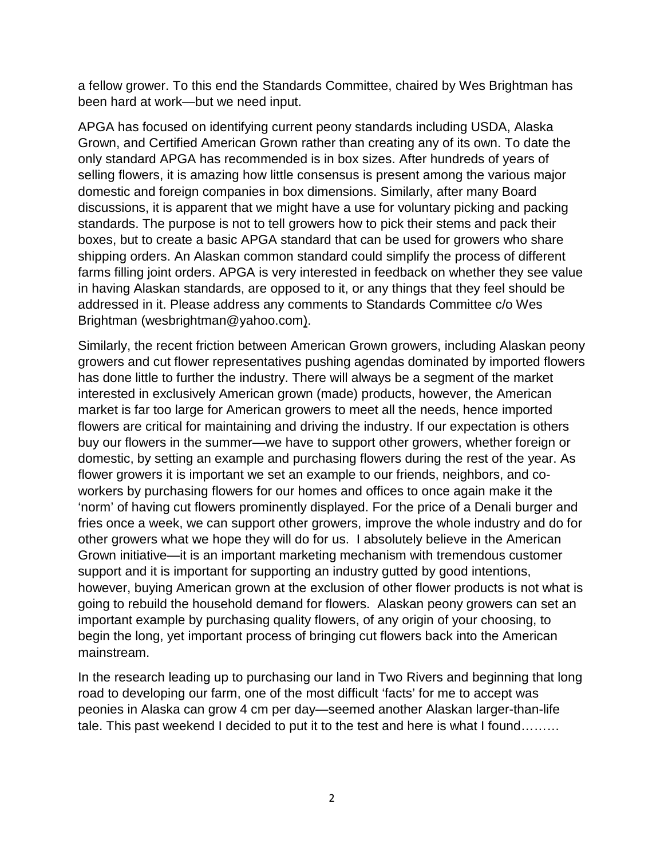a fellow grower. To this end the Standards Committee, chaired by Wes Brightman has been hard at work—but we need input.

APGA has focused on identifying current peony standards including USDA, Alaska Grown, and Certified American Grown rather than creating any of its own. To date the only standard APGA has recommended is in box sizes. After hundreds of years of selling flowers, it is amazing how little consensus is present among the various major domestic and foreign companies in box dimensions. Similarly, after many Board discussions, it is apparent that we might have a use for voluntary picking and packing standards. The purpose is not to tell growers how to pick their stems and pack their boxes, but to create a basic APGA standard that can be used for growers who share shipping orders. An Alaskan common standard could simplify the process of different farms filling joint orders. APGA is very interested in feedback on whether they see value in having Alaskan standards, are opposed to it, or any things that they feel should be addressed in it. Please address any comments to Standards Committee c/o Wes Brightman [\(wesbrightman@yahoo.com\)](mailto:wesbrightman@yahoo.com).

Similarly, the recent friction between American Grown growers, including Alaskan peony growers and cut flower representatives pushing agendas dominated by imported flowers has done little to further the industry. There will always be a segment of the market interested in exclusively American grown (made) products, however, the American market is far too large for American growers to meet all the needs, hence imported flowers are critical for maintaining and driving the industry. If our expectation is others buy our flowers in the summer—we have to support other growers, whether foreign or domestic, by setting an example and purchasing flowers during the rest of the year. As flower growers it is important we set an example to our friends, neighbors, and coworkers by purchasing flowers for our homes and offices to once again make it the 'norm' of having cut flowers prominently displayed. For the price of a Denali burger and fries once a week, we can support other growers, improve the whole industry and do for other growers what we hope they will do for us. I absolutely believe in the American Grown initiative—it is an important marketing mechanism with tremendous customer support and it is important for supporting an industry gutted by good intentions, however, buying American grown at the exclusion of other flower products is not what is going to rebuild the household demand for flowers. Alaskan peony growers can set an important example by purchasing quality flowers, of any origin of your choosing, to begin the long, yet important process of bringing cut flowers back into the American mainstream.

In the research leading up to purchasing our land in Two Rivers and beginning that long road to developing our farm, one of the most difficult 'facts' for me to accept was peonies in Alaska can grow 4 cm per day—seemed another Alaskan larger-than-life tale. This past weekend I decided to put it to the test and here is what I found………